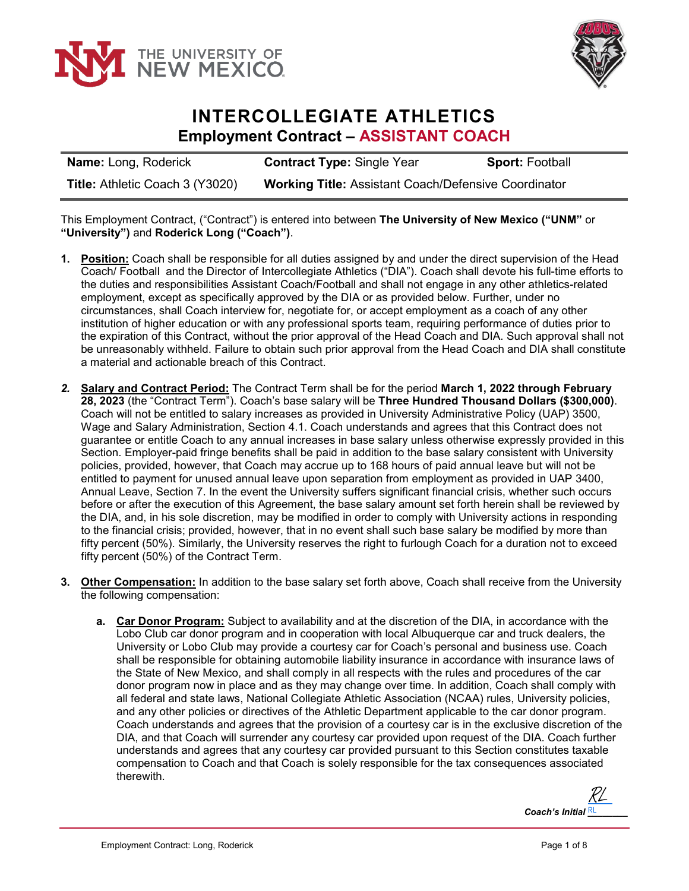



## **INTERCOLLEGIATE ATHLETICS Employment Contract – ASSISTANT COACH**

| <b>Name: Long, Roderick</b>     | <b>Contract Type: Single Year</b>                           | <b>Sport: Football</b> |
|---------------------------------|-------------------------------------------------------------|------------------------|
| Title: Athletic Coach 3 (Y3020) | <b>Working Title: Assistant Coach/Defensive Coordinator</b> |                        |

This Employment Contract, ("Contract") is entered into between **The University of New Mexico ("UNM"** or **"University")** and **Roderick Long ("Coach")**.

- **1. Position:** Coach shall be responsible for all duties assigned by and under the direct supervision of the Head Coach/ Football and the Director of Intercollegiate Athletics ("DIA"). Coach shall devote his full-time efforts to the duties and responsibilities Assistant Coach/Football and shall not engage in any other athletics-related employment, except as specifically approved by the DIA or as provided below. Further, under no circumstances, shall Coach interview for, negotiate for, or accept employment as a coach of any other institution of higher education or with any professional sports team, requiring performance of duties prior to the expiration of this Contract, without the prior approval of the Head Coach and DIA. Such approval shall not be unreasonably withheld. Failure to obtain such prior approval from the Head Coach and DIA shall constitute a material and actionable breach of this Contract.
- *2.* **Salary and Contract Period:** The Contract Term shall be for the period **March 1, 2022 through February 28, 2023** (the "Contract Term"). Coach's base salary will be **Three Hundred Thousand Dollars (\$300,000)**. Coach will not be entitled to salary increases as provided in University Administrative Policy (UAP) 3500, Wage and Salary Administration, Section 4.1. Coach understands and agrees that this Contract does not guarantee or entitle Coach to any annual increases in base salary unless otherwise expressly provided in this Section. Employer-paid fringe benefits shall be paid in addition to the base salary consistent with University policies, provided, however, that Coach may accrue up to 168 hours of paid annual leave but will not be entitled to payment for unused annual leave upon separation from employment as provided in UAP 3400, Annual Leave, Section 7. In the event the University suffers significant financial crisis, whether such occurs before or after the execution of this Agreement, the base salary amount set forth herein shall be reviewed by the DIA, and, in his sole discretion, may be modified in order to comply with University actions in responding to the financial crisis; provided, however, that in no event shall such base salary be modified by more than fifty percent (50%). Similarly, the University reserves the right to furlough Coach for a duration not to exceed fifty percent (50%) of the Contract Term.
- **3. Other Compensation:** In addition to the base salary set forth above, Coach shall receive from the University the following compensation:
	- **a. Car Donor Program:** Subject to availability and at the discretion of the DIA, in accordance with the Lobo Club car donor program and in cooperation with local Albuquerque car and truck dealers, the University or Lobo Club may provide a courtesy car for Coach's personal and business use. Coach shall be responsible for obtaining automobile liability insurance in accordance with insurance laws of the State of New Mexico, and shall comply in all respects with the rules and procedures of the car donor program now in place and as they may change over time. In addition, Coach shall comply with all federal and state laws, National Collegiate Athletic Association (NCAA) rules, University policies, and any other policies or directives of the Athletic Department applicable to the car donor program. Coach understands and agrees that the provision of a courtesy car is in the exclusive discretion of the DIA, and that Coach will surrender any courtesy car provided upon request of the DIA. Coach further understands and agrees that any courtesy car provided pursuant to this Section constitutes taxable compensation to Coach and that Coach is solely responsible for the tax consequences associated therewith.

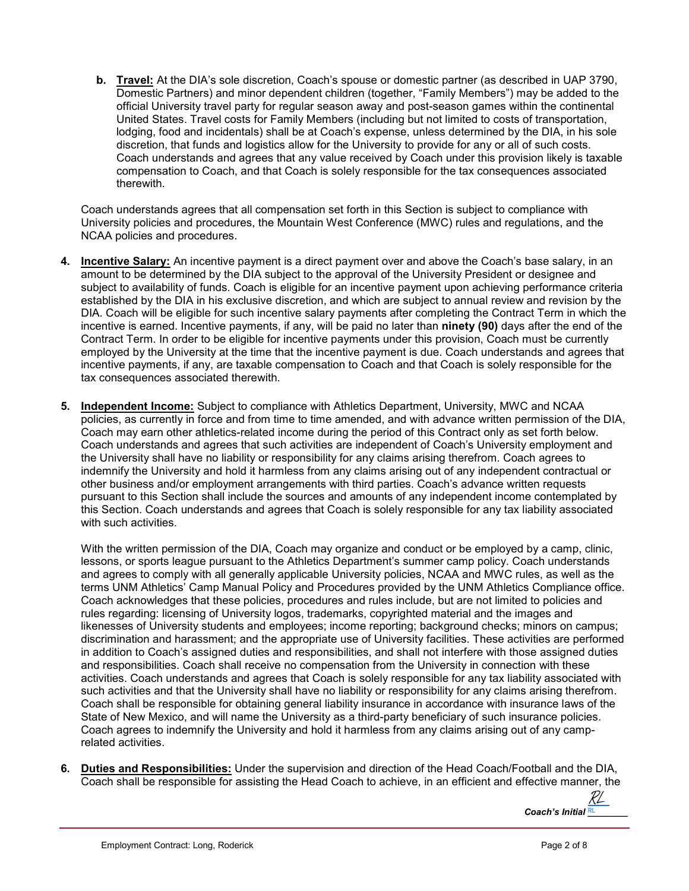**b. Travel:** At the DIA's sole discretion, Coach's spouse or domestic partner (as described in UAP 3790, Domestic Partners) and minor dependent children (together, "Family Members") may be added to the official University travel party for regular season away and post-season games within the continental United States. Travel costs for Family Members (including but not limited to costs of transportation, lodging, food and incidentals) shall be at Coach's expense, unless determined by the DIA, in his sole discretion, that funds and logistics allow for the University to provide for any or all of such costs. Coach understands and agrees that any value received by Coach under this provision likely is taxable compensation to Coach, and that Coach is solely responsible for the tax consequences associated therewith.

Coach understands agrees that all compensation set forth in this Section is subject to compliance with University policies and procedures, the Mountain West Conference (MWC) rules and regulations, and the NCAA policies and procedures.

- **4. Incentive Salary:** An incentive payment is a direct payment over and above the Coach's base salary, in an amount to be determined by the DIA subject to the approval of the University President or designee and subject to availability of funds. Coach is eligible for an incentive payment upon achieving performance criteria established by the DIA in his exclusive discretion, and which are subject to annual review and revision by the DIA. Coach will be eligible for such incentive salary payments after completing the Contract Term in which the incentive is earned. Incentive payments, if any, will be paid no later than **ninety (90)** days after the end of the Contract Term. In order to be eligible for incentive payments under this provision, Coach must be currently employed by the University at the time that the incentive payment is due. Coach understands and agrees that incentive payments, if any, are taxable compensation to Coach and that Coach is solely responsible for the tax consequences associated therewith.
- **5. Independent Income:** Subject to compliance with Athletics Department, University, MWC and NCAA policies, as currently in force and from time to time amended, and with advance written permission of the DIA, Coach may earn other athletics-related income during the period of this Contract only as set forth below. Coach understands and agrees that such activities are independent of Coach's University employment and the University shall have no liability or responsibility for any claims arising therefrom. Coach agrees to indemnify the University and hold it harmless from any claims arising out of any independent contractual or other business and/or employment arrangements with third parties. Coach's advance written requests pursuant to this Section shall include the sources and amounts of any independent income contemplated by this Section. Coach understands and agrees that Coach is solely responsible for any tax liability associated with such activities.

With the written permission of the DIA, Coach may organize and conduct or be employed by a camp, clinic, lessons, or sports league pursuant to the Athletics Department's summer camp policy. Coach understands and agrees to comply with all generally applicable University policies, NCAA and MWC rules, as well as the terms UNM Athletics' Camp Manual Policy and Procedures provided by the UNM Athletics Compliance office. Coach acknowledges that these policies, procedures and rules include, but are not limited to policies and rules regarding: licensing of University logos, trademarks, copyrighted material and the images and likenesses of University students and employees; income reporting; background checks; minors on campus; discrimination and harassment; and the appropriate use of University facilities. These activities are performed in addition to Coach's assigned duties and responsibilities, and shall not interfere with those assigned duties and responsibilities. Coach shall receive no compensation from the University in connection with these activities. Coach understands and agrees that Coach is solely responsible for any tax liability associated with such activities and that the University shall have no liability or responsibility for any claims arising therefrom. Coach shall be responsible for obtaining general liability insurance in accordance with insurance laws of the State of New Mexico, and will name the University as a third-party beneficiary of such insurance policies. Coach agrees to indemnify the University and hold it harmless from any claims arising out of any camprelated activities.

**6. Duties and Responsibilities:** Under the supervision and direction of the Head Coach/Football and the DIA, Coach shall be responsible for assisting the Head Coach to achieve, in an efficient and effective manner, the

*Coach's Initial* RL **RU** RL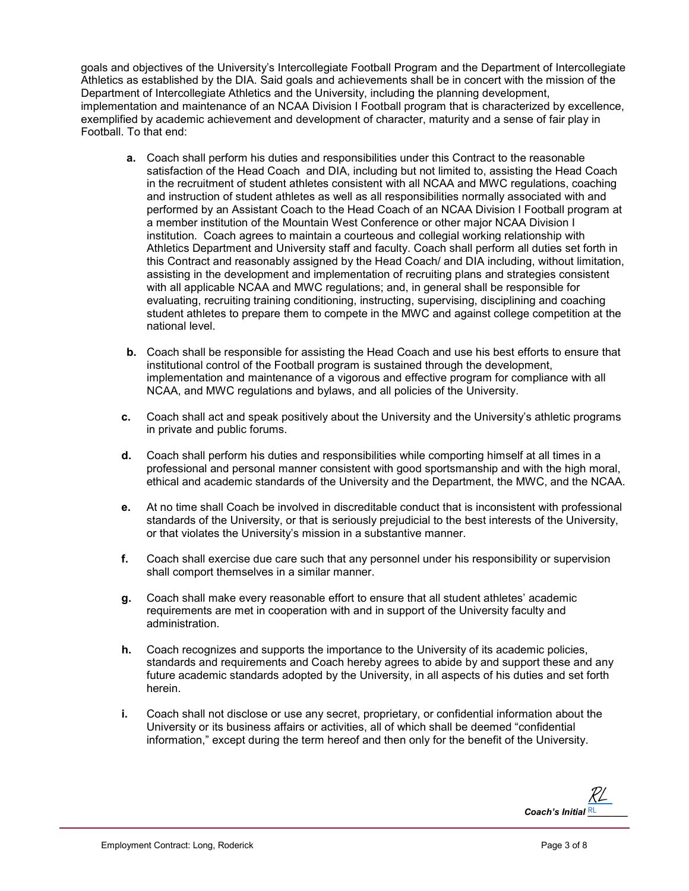goals and objectives of the University's Intercollegiate Football Program and the Department of Intercollegiate Athletics as established by the DIA. Said goals and achievements shall be in concert with the mission of the Department of Intercollegiate Athletics and the University, including the planning development, implementation and maintenance of an NCAA Division I Football program that is characterized by excellence, exemplified by academic achievement and development of character, maturity and a sense of fair play in Football. To that end:

- **a.** Coach shall perform his duties and responsibilities under this Contract to the reasonable satisfaction of the Head Coach and DIA, including but not limited to, assisting the Head Coach in the recruitment of student athletes consistent with all NCAA and MWC regulations, coaching and instruction of student athletes as well as all responsibilities normally associated with and performed by an Assistant Coach to the Head Coach of an NCAA Division I Football program at a member institution of the Mountain West Conference or other major NCAA Division I institution. Coach agrees to maintain a courteous and collegial working relationship with Athletics Department and University staff and faculty. Coach shall perform all duties set forth in this Contract and reasonably assigned by the Head Coach/ and DIA including, without limitation, assisting in the development and implementation of recruiting plans and strategies consistent with all applicable NCAA and MWC regulations; and, in general shall be responsible for evaluating, recruiting training conditioning, instructing, supervising, disciplining and coaching student athletes to prepare them to compete in the MWC and against college competition at the national level.
- **b.** Coach shall be responsible for assisting the Head Coach and use his best efforts to ensure that institutional control of the Football program is sustained through the development, implementation and maintenance of a vigorous and effective program for compliance with all NCAA, and MWC regulations and bylaws, and all policies of the University.
- **c.** Coach shall act and speak positively about the University and the University's athletic programs in private and public forums.
- **d.** Coach shall perform his duties and responsibilities while comporting himself at all times in a professional and personal manner consistent with good sportsmanship and with the high moral, ethical and academic standards of the University and the Department, the MWC, and the NCAA.
- **e.** At no time shall Coach be involved in discreditable conduct that is inconsistent with professional standards of the University, or that is seriously prejudicial to the best interests of the University, or that violates the University's mission in a substantive manner.
- **f.** Coach shall exercise due care such that any personnel under his responsibility or supervision shall comport themselves in a similar manner.
- **g.** Coach shall make every reasonable effort to ensure that all student athletes' academic requirements are met in cooperation with and in support of the University faculty and administration.
- **h.** Coach recognizes and supports the importance to the University of its academic policies, standards and requirements and Coach hereby agrees to abide by and support these and any future academic standards adopted by the University, in all aspects of his duties and set forth herein.
- **i.** Coach shall not disclose or use any secret, proprietary, or confidential information about the University or its business affairs or activities, all of which shall be deemed "confidential information," except during the term hereof and then only for the benefit of the University.

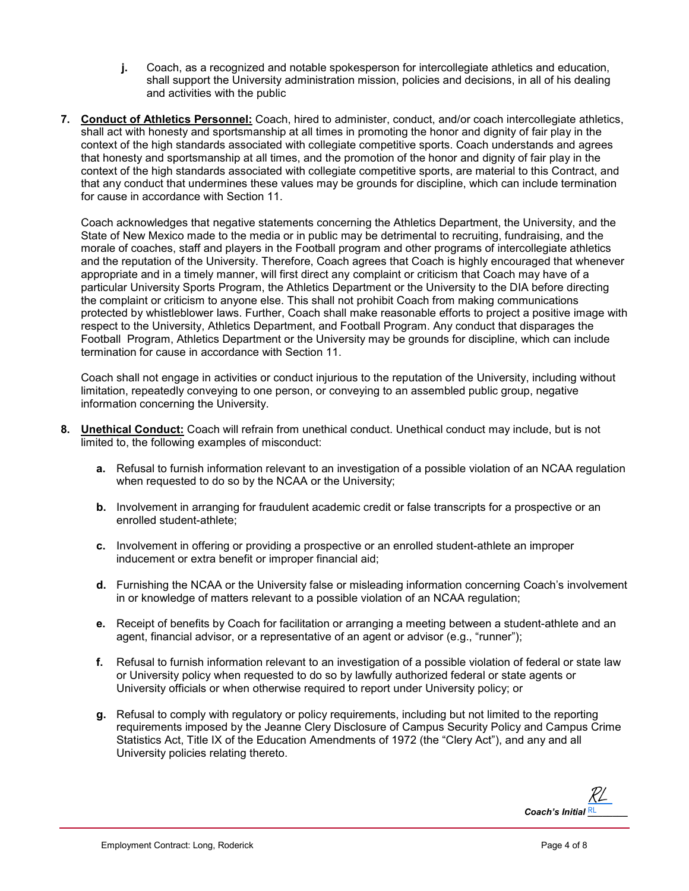- **j.** Coach, as a recognized and notable spokesperson for intercollegiate athletics and education, shall support the University administration mission, policies and decisions, in all of his dealing and activities with the public
- **7. Conduct of Athletics Personnel:** Coach, hired to administer, conduct, and/or coach intercollegiate athletics, shall act with honesty and sportsmanship at all times in promoting the honor and dignity of fair play in the context of the high standards associated with collegiate competitive sports. Coach understands and agrees that honesty and sportsmanship at all times, and the promotion of the honor and dignity of fair play in the context of the high standards associated with collegiate competitive sports, are material to this Contract, and that any conduct that undermines these values may be grounds for discipline, which can include termination for cause in accordance with Section 11.

Coach acknowledges that negative statements concerning the Athletics Department, the University, and the State of New Mexico made to the media or in public may be detrimental to recruiting, fundraising, and the morale of coaches, staff and players in the Football program and other programs of intercollegiate athletics and the reputation of the University. Therefore, Coach agrees that Coach is highly encouraged that whenever appropriate and in a timely manner, will first direct any complaint or criticism that Coach may have of a particular University Sports Program, the Athletics Department or the University to the DIA before directing the complaint or criticism to anyone else. This shall not prohibit Coach from making communications protected by whistleblower laws. Further, Coach shall make reasonable efforts to project a positive image with respect to the University, Athletics Department, and Football Program. Any conduct that disparages the Football Program, Athletics Department or the University may be grounds for discipline, which can include termination for cause in accordance with Section 11.

Coach shall not engage in activities or conduct injurious to the reputation of the University, including without limitation, repeatedly conveying to one person, or conveying to an assembled public group, negative information concerning the University.

- **8. Unethical Conduct:** Coach will refrain from unethical conduct. Unethical conduct may include, but is not limited to, the following examples of misconduct:
	- **a.** Refusal to furnish information relevant to an investigation of a possible violation of an NCAA regulation when requested to do so by the NCAA or the University;
	- **b.** Involvement in arranging for fraudulent academic credit or false transcripts for a prospective or an enrolled student-athlete;
	- **c.** Involvement in offering or providing a prospective or an enrolled student-athlete an improper inducement or extra benefit or improper financial aid;
	- **d.** Furnishing the NCAA or the University false or misleading information concerning Coach's involvement in or knowledge of matters relevant to a possible violation of an NCAA regulation;
	- **e.** Receipt of benefits by Coach for facilitation or arranging a meeting between a student-athlete and an agent, financial advisor, or a representative of an agent or advisor (e.g., "runner");
	- **f.** Refusal to furnish information relevant to an investigation of a possible violation of federal or state law or University policy when requested to do so by lawfully authorized federal or state agents or University officials or when otherwise required to report under University policy; or
	- **g.** Refusal to comply with regulatory or policy requirements, including but not limited to the reporting requirements imposed by the Jeanne Clery Disclosure of Campus Security Policy and Campus Crime Statistics Act, Title IX of the Education Amendments of 1972 (the "Clery Act"), and any and all University policies relating thereto.

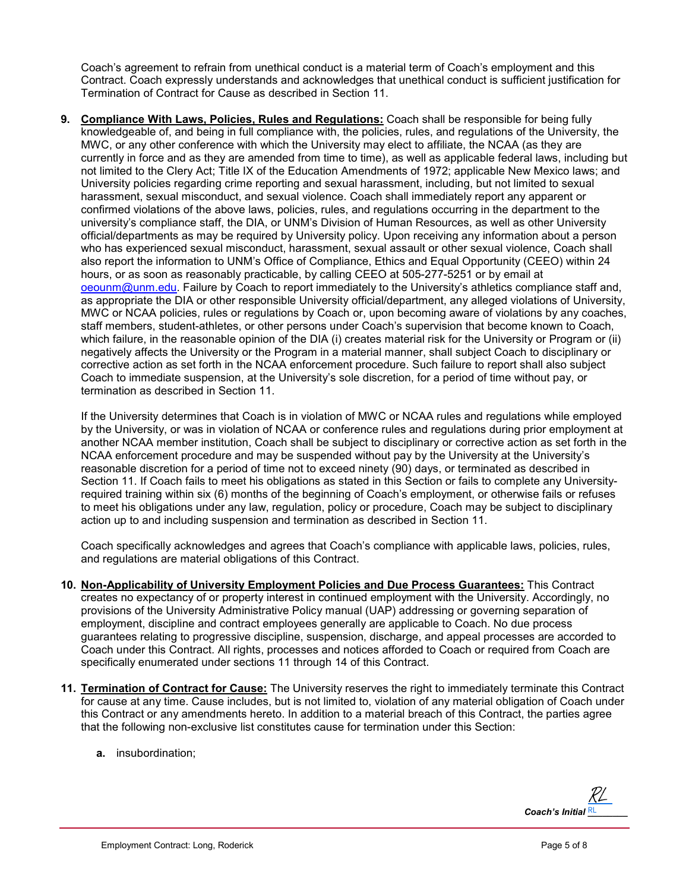Coach's agreement to refrain from unethical conduct is a material term of Coach's employment and this Contract. Coach expressly understands and acknowledges that unethical conduct is sufficient justification for Termination of Contract for Cause as described in Section 11.

**9. Compliance With Laws, Policies, Rules and Regulations:** Coach shall be responsible for being fully knowledgeable of, and being in full compliance with, the policies, rules, and regulations of the University, the MWC, or any other conference with which the University may elect to affiliate, the NCAA (as they are currently in force and as they are amended from time to time), as well as applicable federal laws, including but not limited to the Clery Act; Title IX of the Education Amendments of 1972; applicable New Mexico laws; and University policies regarding crime reporting and sexual harassment, including, but not limited to sexual harassment, sexual misconduct, and sexual violence. Coach shall immediately report any apparent or confirmed violations of the above laws, policies, rules, and regulations occurring in the department to the university's compliance staff, the DIA, or UNM's Division of Human Resources, as well as other University official/departments as may be required by University policy. Upon receiving any information about a person who has experienced sexual misconduct, harassment, sexual assault or other sexual violence, Coach shall also report the information to UNM's Office of Compliance, Ethics and Equal Opportunity (CEEO) within 24 hours, or as soon as reasonably practicable, by calling CEEO at 505-277-5251 or by email at [oeounm@unm.edu.](mailto:oeounm@unm.edu) Failure by Coach to report immediately to the University's athletics compliance staff and, as appropriate the DIA or other responsible University official/department, any alleged violations of University, MWC or NCAA policies, rules or regulations by Coach or, upon becoming aware of violations by any coaches, staff members, student-athletes, or other persons under Coach's supervision that become known to Coach, which failure, in the reasonable opinion of the DIA (i) creates material risk for the University or Program or (ii) negatively affects the University or the Program in a material manner, shall subject Coach to disciplinary or corrective action as set forth in the NCAA enforcement procedure. Such failure to report shall also subject Coach to immediate suspension, at the University's sole discretion, for a period of time without pay, or termination as described in Section 11.

If the University determines that Coach is in violation of MWC or NCAA rules and regulations while employed by the University, or was in violation of NCAA or conference rules and regulations during prior employment at another NCAA member institution, Coach shall be subject to disciplinary or corrective action as set forth in the NCAA enforcement procedure and may be suspended without pay by the University at the University's reasonable discretion for a period of time not to exceed ninety (90) days, or terminated as described in Section 11. If Coach fails to meet his obligations as stated in this Section or fails to complete any Universityrequired training within six (6) months of the beginning of Coach's employment, or otherwise fails or refuses to meet his obligations under any law, regulation, policy or procedure, Coach may be subject to disciplinary action up to and including suspension and termination as described in Section 11.

Coach specifically acknowledges and agrees that Coach's compliance with applicable laws, policies, rules, and regulations are material obligations of this Contract.

- **10. Non-Applicability of University Employment Policies and Due Process Guarantees:** This Contract creates no expectancy of or property interest in continued employment with the University. Accordingly, no provisions of the University Administrative Policy manual (UAP) addressing or governing separation of employment, discipline and contract employees generally are applicable to Coach. No due process guarantees relating to progressive discipline, suspension, discharge, and appeal processes are accorded to Coach under this Contract. All rights, processes and notices afforded to Coach or required from Coach are specifically enumerated under sections 11 through 14 of this Contract.
- **11. Termination of Contract for Cause:** The University reserves the right to immediately terminate this Contract for cause at any time. Cause includes, but is not limited to, violation of any material obligation of Coach under this Contract or any amendments hereto. In addition to a material breach of this Contract, the parties agree that the following non-exclusive list constitutes cause for termination under this Section:
	- **a.** insubordination;

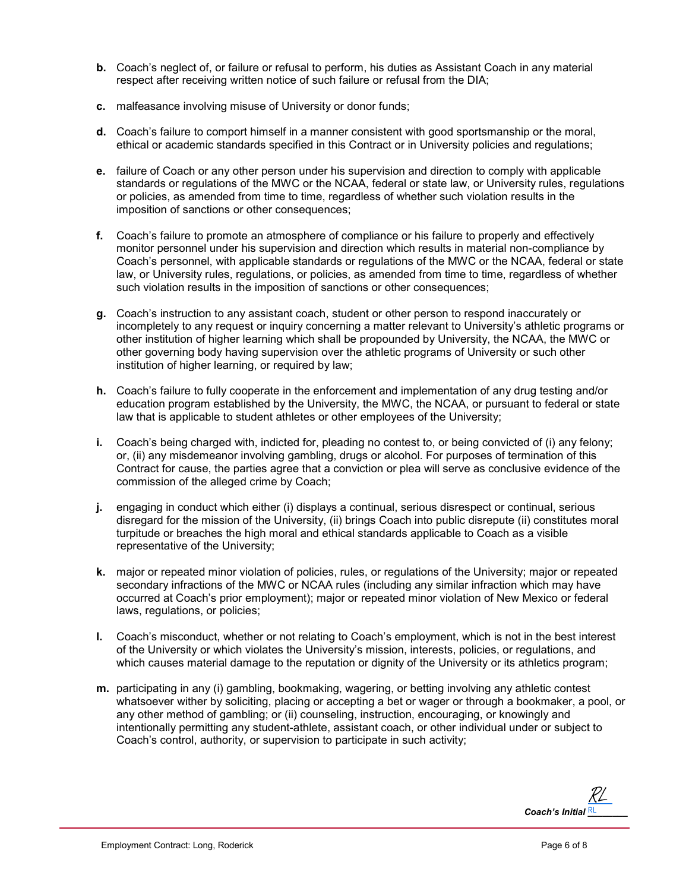- **b.** Coach's neglect of, or failure or refusal to perform, his duties as Assistant Coach in any material respect after receiving written notice of such failure or refusal from the DIA;
- **c.** malfeasance involving misuse of University or donor funds;
- **d.** Coach's failure to comport himself in a manner consistent with good sportsmanship or the moral, ethical or academic standards specified in this Contract or in University policies and regulations;
- **e.** failure of Coach or any other person under his supervision and direction to comply with applicable standards or regulations of the MWC or the NCAA, federal or state law, or University rules, regulations or policies, as amended from time to time, regardless of whether such violation results in the imposition of sanctions or other consequences;
- **f.** Coach's failure to promote an atmosphere of compliance or his failure to properly and effectively monitor personnel under his supervision and direction which results in material non-compliance by Coach's personnel, with applicable standards or regulations of the MWC or the NCAA, federal or state law, or University rules, regulations, or policies, as amended from time to time, regardless of whether such violation results in the imposition of sanctions or other consequences;
- **g.** Coach's instruction to any assistant coach, student or other person to respond inaccurately or incompletely to any request or inquiry concerning a matter relevant to University's athletic programs or other institution of higher learning which shall be propounded by University, the NCAA, the MWC or other governing body having supervision over the athletic programs of University or such other institution of higher learning, or required by law;
- **h.** Coach's failure to fully cooperate in the enforcement and implementation of any drug testing and/or education program established by the University, the MWC, the NCAA, or pursuant to federal or state law that is applicable to student athletes or other employees of the University;
- **i.** Coach's being charged with, indicted for, pleading no contest to, or being convicted of (i) any felony; or, (ii) any misdemeanor involving gambling, drugs or alcohol. For purposes of termination of this Contract for cause, the parties agree that a conviction or plea will serve as conclusive evidence of the commission of the alleged crime by Coach;
- **j.** engaging in conduct which either (i) displays a continual, serious disrespect or continual, serious disregard for the mission of the University, (ii) brings Coach into public disrepute (ii) constitutes moral turpitude or breaches the high moral and ethical standards applicable to Coach as a visible representative of the University;
- **k.** major or repeated minor violation of policies, rules, or regulations of the University; major or repeated secondary infractions of the MWC or NCAA rules (including any similar infraction which may have occurred at Coach's prior employment); major or repeated minor violation of New Mexico or federal laws, regulations, or policies;
- **l.** Coach's misconduct, whether or not relating to Coach's employment, which is not in the best interest of the University or which violates the University's mission, interests, policies, or regulations, and which causes material damage to the reputation or dignity of the University or its athletics program;
- **m.** participating in any (i) gambling, bookmaking, wagering, or betting involving any athletic contest whatsoever wither by soliciting, placing or accepting a bet or wager or through a bookmaker, a pool, or any other method of gambling; or (ii) counseling, instruction, encouraging, or knowingly and intentionally permitting any student-athlete, assistant coach, or other individual under or subject to Coach's control, authority, or supervision to participate in such activity;

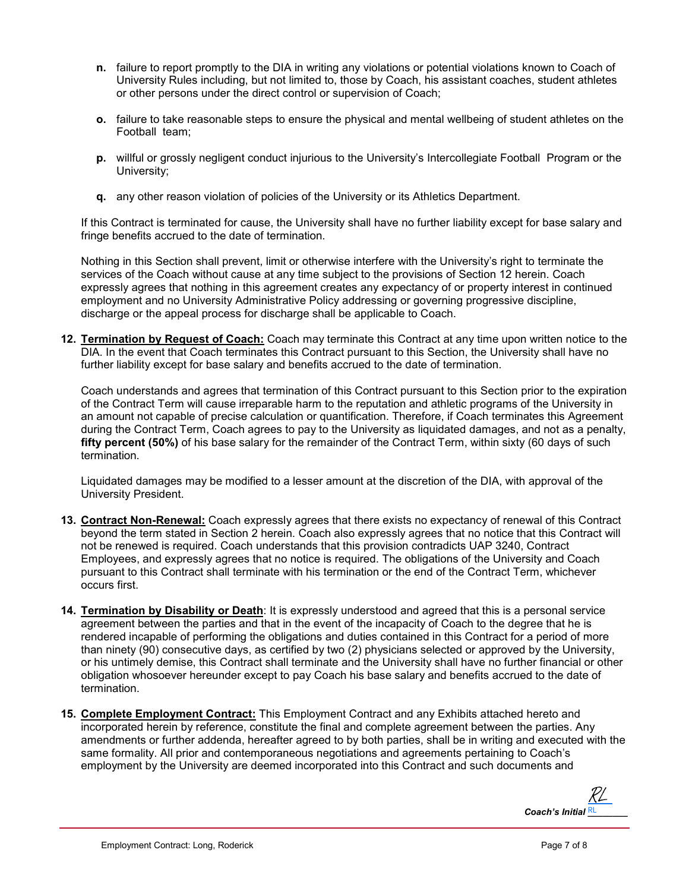- **n.** failure to report promptly to the DIA in writing any violations or potential violations known to Coach of University Rules including, but not limited to, those by Coach, his assistant coaches, student athletes or other persons under the direct control or supervision of Coach;
- **o.** failure to take reasonable steps to ensure the physical and mental wellbeing of student athletes on the Football team;
- **p.** willful or grossly negligent conduct injurious to the University's Intercollegiate Football Program or the University;
- **q.** any other reason violation of policies of the University or its Athletics Department.

If this Contract is terminated for cause, the University shall have no further liability except for base salary and fringe benefits accrued to the date of termination.

Nothing in this Section shall prevent, limit or otherwise interfere with the University's right to terminate the services of the Coach without cause at any time subject to the provisions of Section 12 herein. Coach expressly agrees that nothing in this agreement creates any expectancy of or property interest in continued employment and no University Administrative Policy addressing or governing progressive discipline, discharge or the appeal process for discharge shall be applicable to Coach.

**12. Termination by Request of Coach:** Coach may terminate this Contract at any time upon written notice to the DIA. In the event that Coach terminates this Contract pursuant to this Section, the University shall have no further liability except for base salary and benefits accrued to the date of termination.

Coach understands and agrees that termination of this Contract pursuant to this Section prior to the expiration of the Contract Term will cause irreparable harm to the reputation and athletic programs of the University in an amount not capable of precise calculation or quantification. Therefore, if Coach terminates this Agreement during the Contract Term, Coach agrees to pay to the University as liquidated damages, and not as a penalty, **fifty percent (50%)** of his base salary for the remainder of the Contract Term, within sixty (60 days of such termination.

Liquidated damages may be modified to a lesser amount at the discretion of the DIA, with approval of the University President.

- **13. Contract Non-Renewal:** Coach expressly agrees that there exists no expectancy of renewal of this Contract beyond the term stated in Section 2 herein. Coach also expressly agrees that no notice that this Contract will not be renewed is required. Coach understands that this provision contradicts UAP 3240, Contract Employees, and expressly agrees that no notice is required. The obligations of the University and Coach pursuant to this Contract shall terminate with his termination or the end of the Contract Term, whichever occurs first.
- **14. Termination by Disability or Death**: It is expressly understood and agreed that this is a personal service agreement between the parties and that in the event of the incapacity of Coach to the degree that he is rendered incapable of performing the obligations and duties contained in this Contract for a period of more than ninety (90) consecutive days, as certified by two (2) physicians selected or approved by the University, or his untimely demise, this Contract shall terminate and the University shall have no further financial or other obligation whosoever hereunder except to pay Coach his base salary and benefits accrued to the date of termination.
- **15. Complete Employment Contract:** This Employment Contract and any Exhibits attached hereto and incorporated herein by reference, constitute the final and complete agreement between the parties. Any amendments or further addenda, hereafter agreed to by both parties, shall be in writing and executed with the same formality. All prior and contemporaneous negotiations and agreements pertaining to Coach's employment by the University are deemed incorporated into this Contract and such documents and